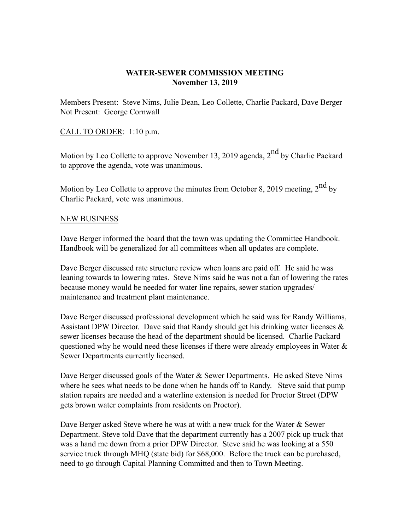## **WATER-SEWER COMMISSION MEETING November 13, 2019**

Members Present: Steve Nims, Julie Dean, Leo Collette, Charlie Packard, Dave Berger Not Present: George Cornwall

## CALL TO ORDER: 1:10 p.m.

Motion by Leo Collette to approve November 13, 2019 agenda, 2<sup>nd</sup> by Charlie Packard to approve the agenda, vote was unanimous.

Motion by Leo Collette to approve the minutes from October 8, 2019 meeting,  $2<sup>nd</sup>$  by Charlie Packard, vote was unanimous.

## NEW BUSINESS

Dave Berger informed the board that the town was updating the Committee Handbook. Handbook will be generalized for all committees when all updates are complete.

Dave Berger discussed rate structure review when loans are paid off. He said he was leaning towards to lowering rates. Steve Nims said he was not a fan of lowering the rates because money would be needed for water line repairs, sewer station upgrades/ maintenance and treatment plant maintenance.

Dave Berger discussed professional development which he said was for Randy Williams, Assistant DPW Director. Dave said that Randy should get his drinking water licenses  $\&$ sewer licenses because the head of the department should be licensed. Charlie Packard questioned why he would need these licenses if there were already employees in Water  $\&$ Sewer Departments currently licensed.

Dave Berger discussed goals of the Water & Sewer Departments. He asked Steve Nims where he sees what needs to be done when he hands off to Randy. Steve said that pump station repairs are needed and a waterline extension is needed for Proctor Street (DPW gets brown water complaints from residents on Proctor).

Dave Berger asked Steve where he was at with a new truck for the Water & Sewer Department. Steve told Dave that the department currently has a 2007 pick up truck that was a hand me down from a prior DPW Director. Steve said he was looking at a 550 service truck through MHQ (state bid) for \$68,000. Before the truck can be purchased, need to go through Capital Planning Committed and then to Town Meeting.